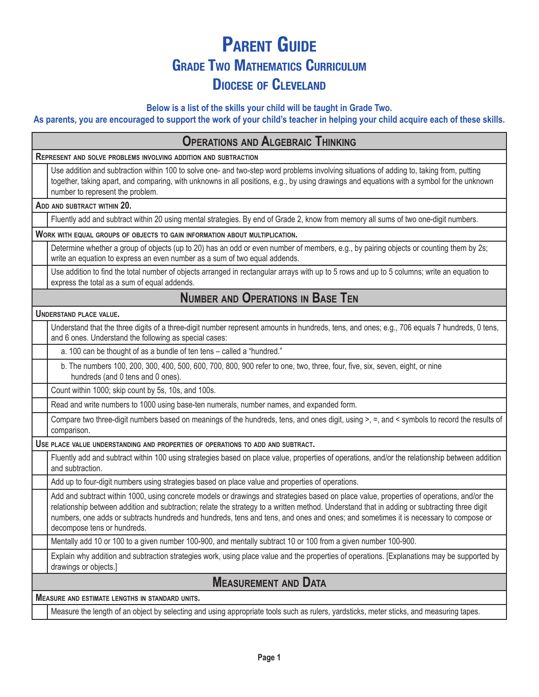## **Parent Guide Grade Two Mathematics Curriculum Diocese of Cleveland**

**Below is a list of the skills your child will be taught in Grade Two.** 

**As parents, you are encouraged to support the work of your child's teacher in helping your child acquire each of these skills.**

| <b>OPERATIONS AND ALGEBRAIC THINKING</b>                                                                                                                                                                                                                                                                                                                                                                                                                        |  |  |
|-----------------------------------------------------------------------------------------------------------------------------------------------------------------------------------------------------------------------------------------------------------------------------------------------------------------------------------------------------------------------------------------------------------------------------------------------------------------|--|--|
| REPRESENT AND SOLVE PROBLEMS INVOLVING ADDITION AND SUBTRACTION                                                                                                                                                                                                                                                                                                                                                                                                 |  |  |
| Use addition and subtraction within 100 to solve one- and two-step word problems involving situations of adding to, taking from, putting<br>together, taking apart, and comparing, with unknowns in all positions, e.g., by using drawings and equations with a symbol for the unknown<br>number to represent the problem.                                                                                                                                      |  |  |
| ADD AND SUBTRACT WITHIN 20.                                                                                                                                                                                                                                                                                                                                                                                                                                     |  |  |
| Fluently add and subtract within 20 using mental strategies. By end of Grade 2, know from memory all sums of two one-digit numbers.                                                                                                                                                                                                                                                                                                                             |  |  |
| WORK WITH EQUAL GROUPS OF OBJECTS TO GAIN INFORMATION ABOUT MULTIPLICATION.                                                                                                                                                                                                                                                                                                                                                                                     |  |  |
| Determine whether a group of objects (up to 20) has an odd or even number of members, e.g., by pairing objects or counting them by 2s;<br>write an equation to express an even number as a sum of two equal addends.                                                                                                                                                                                                                                            |  |  |
| Use addition to find the total number of objects arranged in rectangular arrays with up to 5 rows and up to 5 columns; write an equation to<br>express the total as a sum of equal addends.                                                                                                                                                                                                                                                                     |  |  |
| <b>NUMBER AND OPERATIONS IN BASE TEN</b>                                                                                                                                                                                                                                                                                                                                                                                                                        |  |  |
| <b>UNDERSTAND PLACE VALUE.</b>                                                                                                                                                                                                                                                                                                                                                                                                                                  |  |  |
| Understand that the three digits of a three-digit number represent amounts in hundreds, tens, and ones; e.g., 706 equals 7 hundreds, 0 tens,<br>and 6 ones. Understand the following as special cases:                                                                                                                                                                                                                                                          |  |  |
| a. 100 can be thought of as a bundle of ten tens - called a "hundred."                                                                                                                                                                                                                                                                                                                                                                                          |  |  |
| b. The numbers 100, 200, 300, 400, 500, 600, 700, 800, 900 refer to one, two, three, four, five, six, seven, eight, or nine<br>hundreds (and 0 tens and 0 ones).                                                                                                                                                                                                                                                                                                |  |  |
| Count within 1000; skip count by 5s, 10s, and 100s.                                                                                                                                                                                                                                                                                                                                                                                                             |  |  |
| Read and write numbers to 1000 using base-ten numerals, number names, and expanded form.                                                                                                                                                                                                                                                                                                                                                                        |  |  |
| Compare two three-digit numbers based on meanings of the hundreds, tens, and ones digit, using >, =, and < symbols to record the results of<br>comparison.                                                                                                                                                                                                                                                                                                      |  |  |
| USE PLACE VALUE UNDERSTANDING AND PROPERTIES OF OPERATIONS TO ADD AND SUBTRACT.                                                                                                                                                                                                                                                                                                                                                                                 |  |  |
| Fluently add and subtract within 100 using strategies based on place value, properties of operations, and/or the relationship between addition<br>and subtraction.                                                                                                                                                                                                                                                                                              |  |  |
| Add up to four-digit numbers using strategies based on place value and properties of operations.                                                                                                                                                                                                                                                                                                                                                                |  |  |
| Add and subtract within 1000, using concrete models or drawings and strategies based on place value, properties of operations, and/or the<br>relationship between addition and subtraction; relate the strategy to a written method. Understand that in adding or subtracting three digit<br>numbers, one adds or subtracts hundreds and hundreds, tens and tens, and ones and ones; and sometimes it is necessary to compose or<br>decompose tens or hundreds. |  |  |
| Mentally add 10 or 100 to a given number 100-900, and mentally subtract 10 or 100 from a given number 100-900.                                                                                                                                                                                                                                                                                                                                                  |  |  |
| Explain why addition and subtraction strategies work, using place value and the properties of operations. [Explanations may be supported by<br>drawings or objects.]                                                                                                                                                                                                                                                                                            |  |  |
| <b>MEASUREMENT AND DATA</b>                                                                                                                                                                                                                                                                                                                                                                                                                                     |  |  |
| <b>MEASURE AND ESTIMATE LENGTHS IN STANDARD UNITS.</b>                                                                                                                                                                                                                                                                                                                                                                                                          |  |  |
| Measure the length of an object by selecting and using appropriate tools such as rulers, yardsticks, meter sticks, and measuring tapes.                                                                                                                                                                                                                                                                                                                         |  |  |